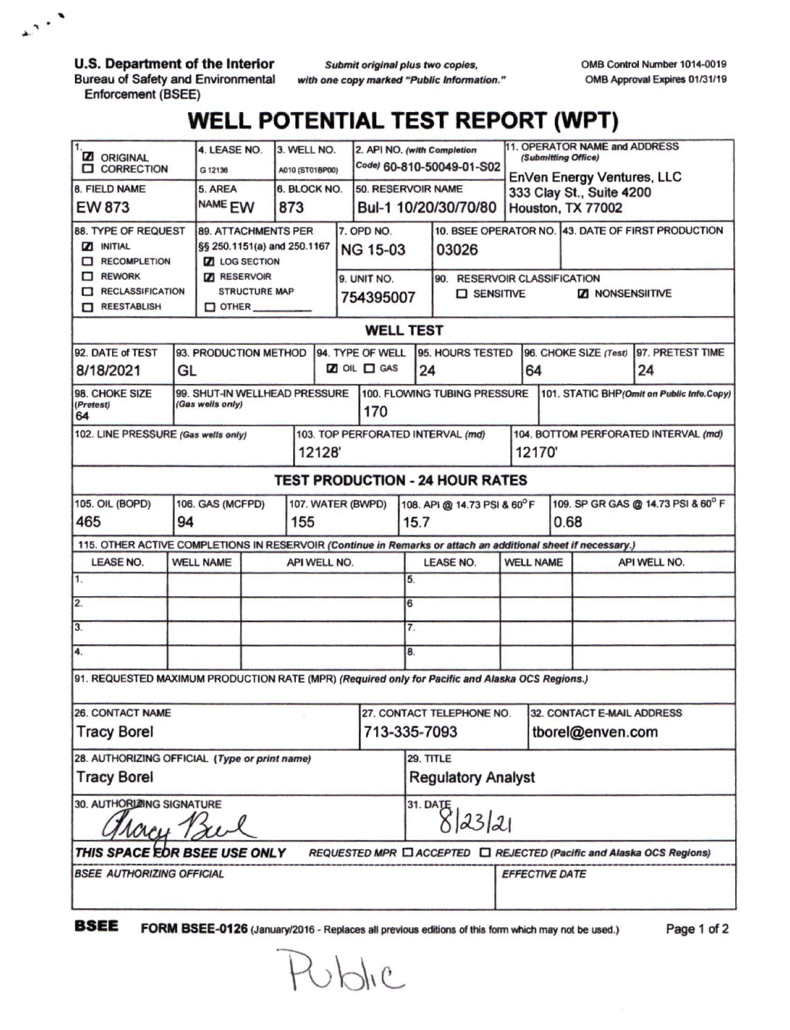**U.S. Department of the Interior Bureau of Safety and Environmental Enforcement (BSEE)**

 $\mathbf{r}$ .

*Submit originalplus two copies, with one copy marked "Public Information.* OMB Control Number 1014-0019 OMB Approval Expires 01/31/19

## **WELL POTENTIAL TEST REPORT (WPT)**

| <b>Z</b> ORIGINAL<br><b>CORRECTION</b>                                                                       |                               | 4. LEASE NO.<br>G 12136                                                                                          |                             | 3. WELL NO.<br>A010 (ST01BP00) |              |                                                           | 2. API NO. (with Completion                |                                     | Code) 60-810-50049-01-S02                      |                                                     | 11. OPERATOR NAME and ADDRESS<br>(Submitting Office)                        |                                               |                         |                                                    |                        |
|--------------------------------------------------------------------------------------------------------------|-------------------------------|------------------------------------------------------------------------------------------------------------------|-----------------------------|--------------------------------|--------------|-----------------------------------------------------------|--------------------------------------------|-------------------------------------|------------------------------------------------|-----------------------------------------------------|-----------------------------------------------------------------------------|-----------------------------------------------|-------------------------|----------------------------------------------------|------------------------|
| 8. FIELD NAME<br><b>EW 873</b>                                                                               |                               | 5. AREA<br>NAME <sub>EW</sub>                                                                                    |                             | 873                            | 6. BLOCK NO. |                                                           | 50. RESERVOIR NAME<br>Bul-1 10/20/30/70/80 |                                     |                                                |                                                     | EnVen Energy Ventures, LLC<br>333 Clay St., Suite 4200<br>Houston, TX 77002 |                                               |                         |                                                    |                        |
| 88. TYPE OF REQUEST<br><b>Z INITIAL</b><br>RECOMPLETION<br>$\Box$ REWORK<br>RECLASSIFICATION<br>REESTABLISH  |                               | <b>89. ATTACHMENTS PER</b><br><b>Z</b> LOG SECTION<br><b>7</b> RESERVOIR<br><b>STRUCTURE MAP</b><br>$\Box$ OTHER | §§ 250.1151(a) and 250.1167 |                                |              | 7. OPD NO.<br><b>NG 15-03</b><br>9. UNIT NO.<br>754395007 |                                            |                                     | 03026                                          | 90. RESERVOIR CLASSIFICATION<br>$\square$ SENSITIVE |                                                                             |                                               | <b>ZI NONSENSIITIVE</b> | 10. BSEE OPERATOR NO. 43. DATE OF FIRST PRODUCTION |                        |
| <b>WELL TEST</b>                                                                                             |                               |                                                                                                                  |                             |                                |              |                                                           |                                            |                                     |                                                |                                                     |                                                                             |                                               |                         |                                                    |                        |
| 92. DATE of TEST<br>8/18/2021                                                                                |                               | 93. PRODUCTION METHOD<br>GL                                                                                      |                             |                                |              | 94. TYPE OF WELL<br><b>Z</b> OIL <b>D</b> GAS             |                                            |                                     | 95. HOURS TESTED<br>24                         |                                                     |                                                                             | 64                                            |                         | 96. CHOKE SIZE (Test)                              | 97. PRETEST TIME<br>24 |
| 98. CHOKE SIZE<br>(Pretest)<br>64                                                                            |                               | 99. SHUT-IN WELLHEAD PRESSURE<br>(Gas wells only)                                                                |                             |                                |              | 170                                                       | 100. FLOWING TUBING PRESSURE               |                                     |                                                |                                                     | 101. STATIC BHP(Omit on Public Info.Copy)                                   |                                               |                         |                                                    |                        |
| 102. LINE PRESSURE (Gas wells only)<br>12128                                                                 |                               |                                                                                                                  |                             |                                |              | 103. TOP PERFORATED INTERVAL (md)                         |                                            |                                     |                                                |                                                     |                                                                             | 104. BOTTOM PERFORATED INTERVAL (md)<br>12170 |                         |                                                    |                        |
| <b>TEST PRODUCTION - 24 HOUR RATES</b>                                                                       |                               |                                                                                                                  |                             |                                |              |                                                           |                                            |                                     |                                                |                                                     |                                                                             |                                               |                         |                                                    |                        |
| 105. OIL (BOPD)<br>465                                                                                       | 106. GAS (MCFPD)<br>94<br>155 |                                                                                                                  |                             | 107. WATER (BWPD)              |              |                                                           |                                            | 108. API @ 14.73 PSI & 60°F<br>15.7 |                                                | 0.68                                                |                                                                             | 109. SP GR GAS @ 14.73 PSI & 60° F            |                         |                                                    |                        |
| 115. OTHER ACTIVE COMPLETIONS IN RESERVOIR (Continue in Remarks or attach an additional sheet if necessary.) |                               |                                                                                                                  |                             |                                |              |                                                           |                                            |                                     |                                                |                                                     |                                                                             |                                               |                         |                                                    |                        |
| <b>LEASE NO.</b><br>$\mathbf{1}$ .                                                                           | <b>WELL NAME</b>              |                                                                                                                  |                             |                                | API WELL NO. |                                                           |                                            | 5.                                  | <b>LEASE NO.</b>                               |                                                     | <b>WELL NAME</b>                                                            |                                               |                         | API WELL NO.                                       |                        |
| 2.                                                                                                           |                               |                                                                                                                  |                             |                                |              |                                                           |                                            | 6                                   |                                                |                                                     |                                                                             |                                               |                         |                                                    |                        |
| 3.                                                                                                           |                               |                                                                                                                  |                             |                                |              |                                                           |                                            | 7.                                  |                                                |                                                     |                                                                             |                                               |                         |                                                    |                        |
| 4.                                                                                                           |                               |                                                                                                                  |                             |                                |              | 8.                                                        |                                            |                                     |                                                |                                                     |                                                                             |                                               |                         |                                                    |                        |
| 91. REQUESTED MAXIMUM PRODUCTION RATE (MPR) (Required only for Pacific and Alaska OCS Regions.)              |                               |                                                                                                                  |                             |                                |              |                                                           |                                            |                                     |                                                |                                                     |                                                                             |                                               |                         |                                                    |                        |
| <b>26. CONTACT NAME</b><br><b>Tracy Borel</b>                                                                |                               |                                                                                                                  |                             |                                |              | 27. CONTACT TELEPHONE NO.<br>713-335-7093                 |                                            |                                     | 32. CONTACT E-MAIL ADDRESS<br>tborel@enven.com |                                                     |                                                                             |                                               |                         |                                                    |                        |
| 28. AUTHORIZING OFFICIAL (Type or print name)<br><b>Tracy Borel</b>                                          |                               |                                                                                                                  |                             |                                |              | 29. TITLE<br><b>Regulatory Analyst</b>                    |                                            |                                     |                                                |                                                     |                                                                             |                                               |                         |                                                    |                        |
| 30. AUTHORIZING SIGNATURE<br>lacy 12                                                                         |                               |                                                                                                                  |                             |                                |              | 31. DATE<br>8 23 21                                       |                                            |                                     |                                                |                                                     |                                                                             |                                               |                         |                                                    |                        |
| THIS SPACE EOR BSEE USE ONLY<br>REQUESTED MPR C ACCEPTED C REJECTED (Pacific and Alaska OCS Regions)         |                               |                                                                                                                  |                             |                                |              |                                                           |                                            |                                     |                                                |                                                     |                                                                             |                                               |                         |                                                    |                        |
| <b>BSEE AUTHORIZING OFFICIAL</b>                                                                             |                               |                                                                                                                  |                             |                                |              |                                                           |                                            |                                     |                                                | <b>EFFECTIVE DATE</b>                               |                                                                             |                                               |                         |                                                    |                        |

**BSEE FORM BSEE-0126** (January/2016 - Replaces all previous editions of this form which may not be used.)

Public